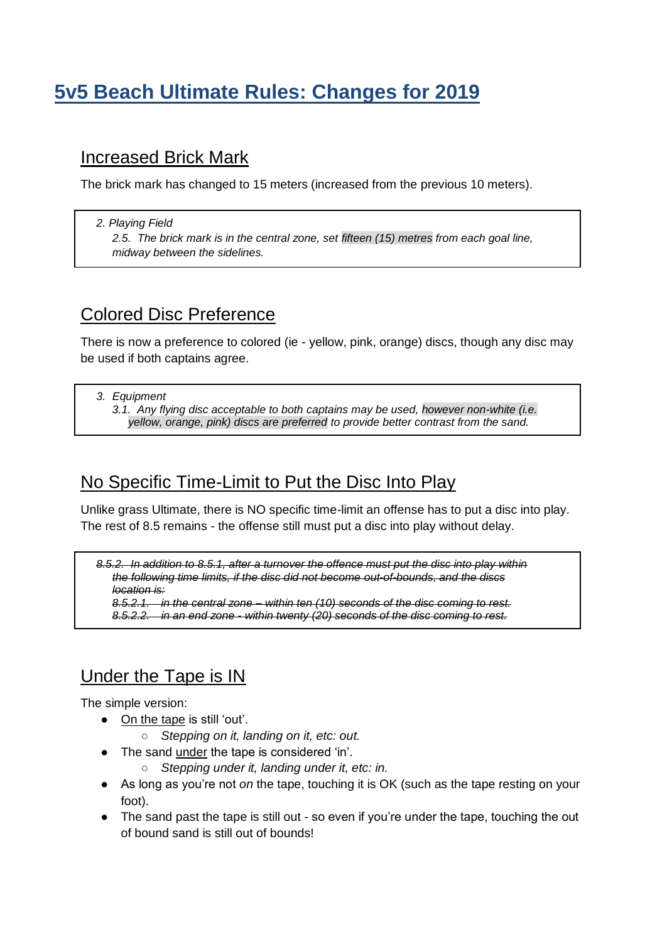# **5v5 Beach Ultimate Rules: Changes for 2019**

### Increased Brick Mark

The brick mark has changed to 15 meters (increased from the previous 10 meters).

#### *2. Playing Field*

*2.5. The brick mark is in the central zone, set fifteen (15) metres from each goal line, midway between the sidelines.*

### Colored Disc Preference

There is now a preference to colored (ie - yellow, pink, orange) discs, though any disc may be used if both captains agree.

*3. Equipment*

*3.1. Any flying disc acceptable to both captains may be used, however non-white (i.e. yellow, orange, pink) discs are preferred to provide better contrast from the sand.*

# No Specific Time-Limit to Put the Disc Into Play

Unlike grass Ultimate, there is NO specific time-limit an offense has to put a disc into play. The rest of 8.5 remains - the offense still must put a disc into play without delay.

*8.5.2. In addition to 8.5.1, after a turnover the offence must put the disc into play within the following time limits, if the disc did not become out-of-bounds, and the discs location is:*

*8.5.2.1. in the central zone – within ten (10) seconds of the disc coming to rest.* 

*8.5.2.2. in an end zone - within twenty (20) seconds of the disc coming to rest.*

# Under the Tape is IN

The simple version:

- On the tape is still 'out'.
	- *Stepping on it, landing on it, etc: out.*
- The sand under the tape is considered 'in'.
	- *Stepping under it, landing under it, etc: in.*
- As long as you're not *on* the tape, touching it is OK (such as the tape resting on your foot).
- The sand past the tape is still out so even if you're under the tape, touching the out of bound sand is still out of bounds!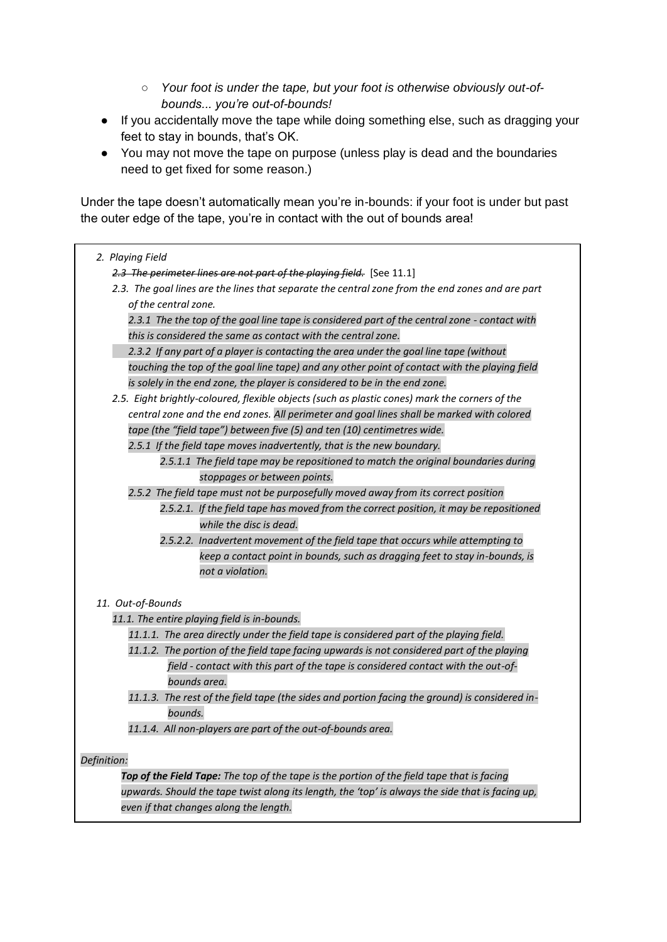- *Your foot is under the tape, but your foot is otherwise obviously out-ofbounds... you're out-of-bounds!*
- If you accidentally move the tape while doing something else, such as dragging your feet to stay in bounds, that's OK.
- You may not move the tape on purpose (unless play is dead and the boundaries need to get fixed for some reason.)

Under the tape doesn't automatically mean you're in-bounds: if your foot is under but past the outer edge of the tape, you're in contact with the out of bounds area!

| 2. Playing Field                                                                                 |
|--------------------------------------------------------------------------------------------------|
| 2.3 The perimeter lines are not part of the playing field. [See 11.1]                            |
| 2.3. The goal lines are the lines that separate the central zone from the end zones and are part |
| of the central zone.                                                                             |
| 2.3.1 The the top of the goal line tape is considered part of the central zone - contact with    |
| this is considered the same as contact with the central zone.                                    |
| 2.3.2 If any part of a player is contacting the area under the goal line tape (without           |
| touching the top of the goal line tape) and any other point of contact with the playing field    |
| is solely in the end zone, the player is considered to be in the end zone.                       |
| 2.5. Eight brightly-coloured, flexible objects (such as plastic cones) mark the corners of the   |
| central zone and the end zones. All perimeter and goal lines shall be marked with colored        |
| tape (the "field tape") between five (5) and ten (10) centimetres wide.                          |
| 2.5.1 If the field tape moves inadvertently, that is the new boundary.                           |
| 2.5.1.1 The field tape may be repositioned to match the original boundaries during               |
| stoppages or between points.                                                                     |
| 2.5.2 The field tape must not be purposefully moved away from its correct position               |
| 2.5.2.1. If the field tape has moved from the correct position, it may be repositioned           |
| while the disc is dead.                                                                          |
| 2.5.2.2. Inadvertent movement of the field tape that occurs while attempting to                  |
| keep a contact point in bounds, such as dragging feet to stay in-bounds, is                      |
| not a violation.                                                                                 |
|                                                                                                  |
| 11. Out-of-Bounds                                                                                |
| 11.1. The entire playing field is in-bounds.                                                     |
| 11.1.1. The area directly under the field tape is considered part of the playing field.          |
| 11.1.2. The portion of the field tape facing upwards is not considered part of the playing       |
| field - contact with this part of the tape is considered contact with the out-of-                |

*bounds area.* 

- *11.1.3. The rest of the field tape (the sides and portion facing the ground) is considered inbounds.*
- *11.1.4. All non-players are part of the out-of-bounds area.*

#### *Definition:*

*Top of the Field Tape: The top of the tape is the portion of the field tape that is facing upwards. Should the tape twist along its length, the 'top' is always the side that is facing up, even if that changes along the length.*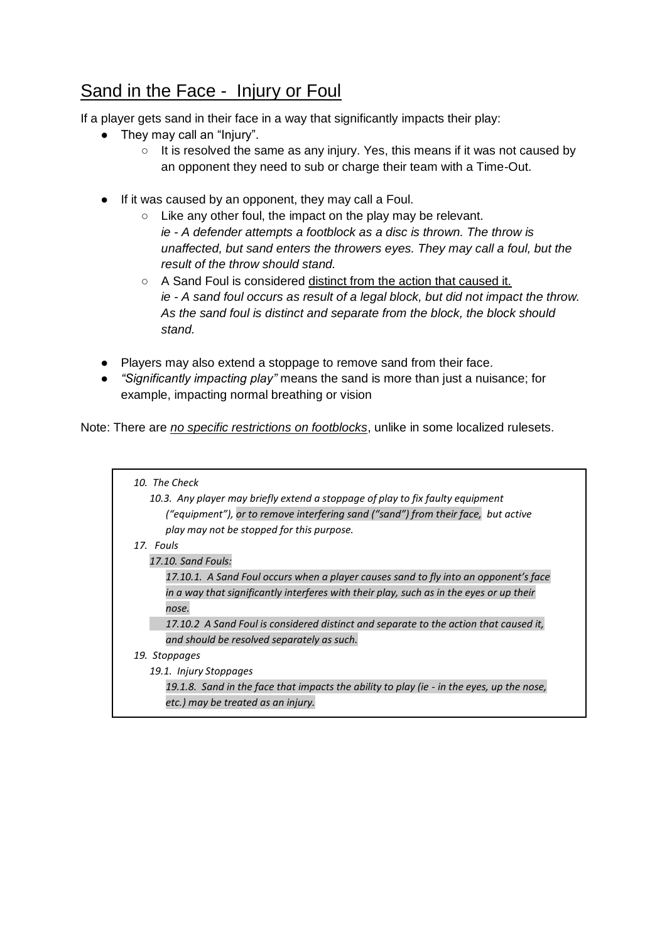# Sand in the Face - Injury or Foul

If a player gets sand in their face in a way that significantly impacts their play:

- They may call an "Injury".
	- It is resolved the same as any injury. Yes, this means if it was not caused by an opponent they need to sub or charge their team with a Time-Out.
- If it was caused by an opponent, they may call a Foul.
	- Like any other foul, the impact on the play may be relevant. *ie - A defender attempts a footblock as a disc is thrown. The throw is unaffected, but sand enters the throwers eyes. They may call a foul, but the result of the throw should stand.*
	- A Sand Foul is considered distinct from the action that caused it. *ie - A sand foul occurs as result of a legal block, but did not impact the throw. As the sand foul is distinct and separate from the block, the block should stand.*
- Players may also extend a stoppage to remove sand from their face.
- *"Significantly impacting play"* means the sand is more than just a nuisance; for example, impacting normal breathing or vision

Note: There are *no specific restrictions on footblocks*, unlike in some localized rulesets.

| 10. The Check                                                                             |
|-------------------------------------------------------------------------------------------|
| 10.3. Any player may briefly extend a stoppage of play to fix faulty equipment            |
| ("equipment"), or to remove interfering sand ("sand") from their face, but active         |
| play may not be stopped for this purpose.                                                 |
| 17. Fouls                                                                                 |
| 17.10. Sand Fouls:                                                                        |
| 17.10.1. A Sand Foul occurs when a player causes sand to fly into an opponent's face      |
| in a way that significantly interferes with their play, such as in the eyes or up their   |
| nose.                                                                                     |
| 17.10.2 A Sand Foul is considered distinct and separate to the action that caused it,     |
| and should be resolved separately as such.                                                |
| 19. Stoppages                                                                             |
| 19.1. Injury Stoppages                                                                    |
| 19.1.8. Sand in the face that impacts the ability to play (ie - in the eyes, up the nose, |
| etc.) may be treated as an injury.                                                        |